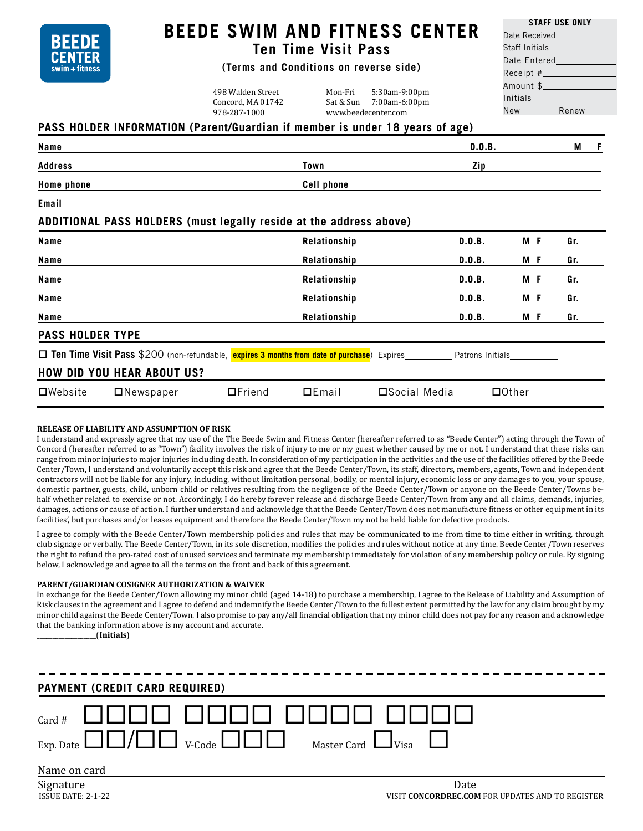

# **BEEDE SWIM AND FITNESS CENTER**

# **Ten Time Visit Pass**

## **(Terms and Conditions on reverse side)**

498 Walden Street Mon-Fri 5:30am-9:00pm Concord, MA 01742 Sat & Sun 7:00am-6:00pm<br>978-287-1000 www.beedecenter.com www.beedecenter.com

| <b>STAFF USE ONLY</b>                                                                                           |  |  |  |  |
|-----------------------------------------------------------------------------------------------------------------|--|--|--|--|
| Date Received <b>Contract Contract Contract Contract</b>                                                        |  |  |  |  |
| Staff Initials_______________                                                                                   |  |  |  |  |
| Date Entered and the state of the state of the state of the state of the state of the state of the state of th  |  |  |  |  |
| Receipt #______________                                                                                         |  |  |  |  |
| Amount \$ Production in the Second Second Second Second Second Second Second Second Second Second Second Second |  |  |  |  |
|                                                                                                                 |  |  |  |  |
|                                                                                                                 |  |  |  |  |

## **PASS HOLDER INFORMATION (Parent/Guardian if member is under 18 years of age)**

| Name                                                                                                             |                  |               |                   |               | D.0.B.       |     |  | М   | -F |
|------------------------------------------------------------------------------------------------------------------|------------------|---------------|-------------------|---------------|--------------|-----|--|-----|----|
| <b>Address</b>                                                                                                   |                  |               | Town              |               | Zip          |     |  |     |    |
| Home phone                                                                                                       |                  |               | <b>Cell phone</b> |               |              |     |  |     |    |
| Email                                                                                                            |                  |               |                   |               |              |     |  |     |    |
| ADDITIONAL PASS HOLDERS (must legally reside at the address above)                                               |                  |               |                   |               |              |     |  |     |    |
| Name                                                                                                             |                  |               | Relationship      |               | D.0.B.       | M F |  | Gr. |    |
| Name                                                                                                             |                  |               | Relationship      |               | D.0.B.       | M F |  | Gr. |    |
| Name                                                                                                             |                  |               | Relationship      |               | D.0.B.       | M F |  | Gr. |    |
| Name                                                                                                             |                  |               | Relationship      |               | D.0.B.       | M F |  | Gr. |    |
| Name                                                                                                             |                  |               | Relationship      |               | D.O.B.       | M F |  | Gr. |    |
| <b>PASS HOLDER TYPE</b>                                                                                          |                  |               |                   |               |              |     |  |     |    |
| □ Ten Time Visit Pass \$200 (non-refundable, expires 3 months from date of purchase) Expires<br>Patrons Initials |                  |               |                   |               |              |     |  |     |    |
| <b>HOW DID YOU HEAR ABOUT US?</b>                                                                                |                  |               |                   |               |              |     |  |     |    |
| $\square$ Website                                                                                                | $\Box$ Newspaper | $\Box$ Friend | DEmail            | □Social Media | $\Box$ Other |     |  |     |    |

#### **RELEASE OF LIABILITY AND ASSUMPTION OF RISK**

I understand and expressly agree that my use of the The Beede Swim and Fitness Center (hereafter referred to as "Beede Center") acting through the Town of Concord (hereafter referred to as "Town") facility involves the risk of injury to me or my guest whether caused by me or not. I understand that these risks can range from minor injuries to major injuries including death. In consideration of my participation in the activities and the use of the facilities offered by the Beede Center/Town, I understand and voluntarily accept this risk and agree that the Beede Center/Town, its staff, directors, members, agents, Town and independent contractors will not be liable for any injury, including, without limitation personal, bodily, or mental injury, economic loss or any damages to you, your spouse, domestic partner, guests, child, unborn child or relatives resulting from the negligence of the Beede Center/Town or anyone on the Beede Center/Towns behalf whether related to exercise or not. Accordingly, I do hereby forever release and discharge Beede Center/Town from any and all claims, demands, injuries, damages, actions or cause of action. I further understand and acknowledge that the Beede Center/Town does not manufacture fitness or other equipment in its facilities', but purchases and/or leases equipment and therefore the Beede Center/Town my not be held liable for defective products.

I agree to comply with the Beede Center/Town membership policies and rules that may be communicated to me from time to time either in writing, through club signage or verbally. The Beede Center/Town, in its sole discretion, modifies the policies and rules without notice at any time. Beede Center/Town reserves the right to refund the pro-rated cost of unused services and terminate my membership immediately for violation of any membership policy or rule. By signing below, I acknowledge and agree to all the terms on the front and back of this agreement.

#### **PARENT/GUARDIAN COSIGNER AUTHORIZATION & WAIVER**

In exchange for the Beede Center/Town allowing my minor child (aged 14-18) to purchase a membership, I agree to the Release of Liability and Assumption of Risk clauses in the agreement and I agree to defend and indemnify the Beede Center/Town to the fullest extent permitted by the law for any claim brought by my minor child against the Beede Center/Town. I also promise to pay any/all financial obligation that my minor child does not pay for any reason and acknowledge that the banking information above is my account and accurate.

\_\_\_\_\_\_\_\_\_\_\_\_\_\_\_\_\_\_\_(**Initials**)

| <b>PAYMENT (CREDIT CARD REQUIRED)</b> |      |  |  |  |
|---------------------------------------|------|--|--|--|
|                                       |      |  |  |  |
| Name on card                          |      |  |  |  |
| Signature                             | Date |  |  |  |